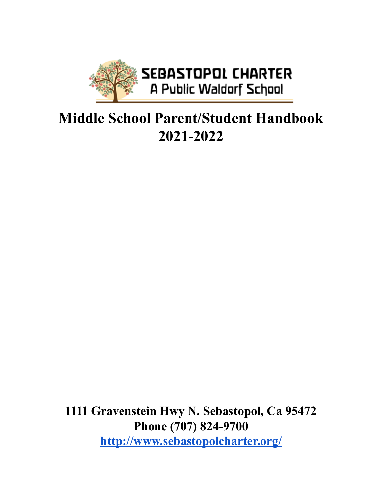

# **Middle School Parent/Student Handbook 2021-2022**

**1111 Gravenstein Hwy N. Sebastopol, Ca 95472 Phone (707) 824-9700 <http://www.sebastopolcharter.org/>**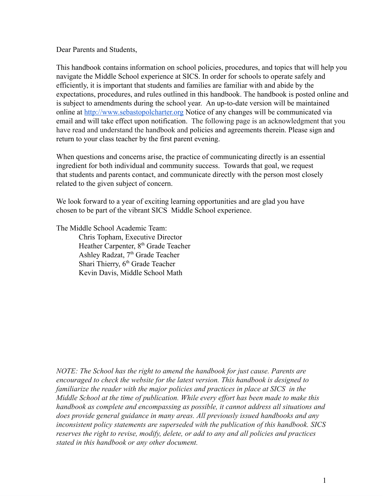Dear Parents and Students,

This handbook contains information on school policies, procedures, and topics that will help you navigate the Middle School experience at SICS. In order for schools to operate safely and efficiently, it is important that students and families are familiar with and abide by the expectations, procedures, and rules outlined in this handbook. The handbook is posted online and is subject to amendments during the school year. An up-to-date version will be maintained online at [http://www.sebastopolcharter.org](http://www.sebastopolcharter.org/) Notice of any changes will be communicated via email and will take effect upon notification. The following page is an acknowledgment that you have read and understand the handbook and policies and agreements therein. Please sign and return to your class teacher by the first parent evening.

When questions and concerns arise, the practice of communicating directly is an essential ingredient for both individual and community success. Towards that goal, we request that students and parents contact, and communicate directly with the person most closely related to the given subject of concern.

We look forward to a year of exciting learning opportunities and are glad you have chosen to be part of the vibrant SICS Middle School experience.

The Middle School Academic Team:

Chris Topham, Executive Director Heather Carpenter, 8<sup>th</sup> Grade Teacher Ashley Radzat, 7<sup>th</sup> Grade Teacher Shari Thierry, 6<sup>th</sup> Grade Teacher Kevin Davis, Middle School Math

*NOTE: The School has the right to amend the handbook for just cause. Parents are encouraged to check the website for the latest version. This handbook is designed to familiarize the reader with the major policies and practices in place at SICS in the Middle School at the time of publication. While every effort has been made to make this handbook as complete and encompassing as possible, it cannot address all situations and does provide general guidance in many areas. All previously issued handbooks and any inconsistent policy statements are superseded with the publication of this handbook. SICS reserves the right to revise, modify, delete, or add to any and all policies and practices stated in this handbook or any other document.*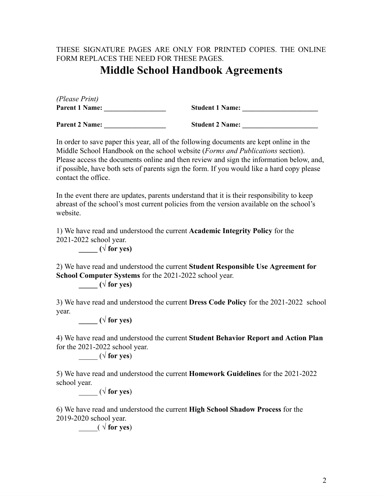### THESE SIGNATURE PAGES ARE ONLY FOR PRINTED COPIES. THE ONLINE FORM REPLACES THE NEED FOR THESE PAGES.

# **Middle School Handbook Agreements**

| (Please Print)                 |                             |
|--------------------------------|-----------------------------|
| <b>Parent 1 Name:</b>          | <b>Student 1 Name:</b>      |
| $\blacksquare$<br>$\mathbf{A}$ | $\mathbf{C}$ . $\mathbf{C}$ |

**Parent 2 Name: \_\_\_\_\_\_\_\_\_\_\_\_\_\_\_\_\_\_ Student 2 Name: \_\_\_\_\_\_\_\_\_\_\_\_\_\_\_\_\_\_\_\_\_\_**

In order to save paper this year, all of the following documents are kept online in the Middle School Handbook on the school website (*Forms and Publications* section). Please access the documents online and then review and sign the information below, and, if possible, have both sets of parents sign the form. If you would like a hard copy please contact the office.

In the event there are updates, parents understand that it is their responsibility to keep abreast of the school's most current policies from the version available on the school's website.

1) We have read and understood the current **Academic Integrity Policy** for the 2021-2022 school year.

 $\sqrt{\frac{1}{2}}$  **(** $\sqrt{\frac{1}{2}}$  **for yes )** 

2) We have read and understood the current **Student Responsible Use Agreement for School Computer Systems** for the 2021-2022 school year.

 $(\sqrt{\text{for yes}})$ 

3) We have read and understood the current **Dress Code Policy** for the 2021-2022 school year.

 $(\sqrt{\text{for yes}})$ 

4) We have read and understood the current **Student Behavior Report and Action Plan** for the 2021-2022 school year.

 $(\sqrt{\text{for yes}})$ 

5) We have read and understood the current **Homework Guidelines** for the 2021-2022 school year.

 $(\sqrt{\text{for yes}})$ 

6) We have read and understood the current **High School Shadow Process** for the 2019-2020 school year.

 $\qquad \qquad (\ \sqrt{\text{for yes}})$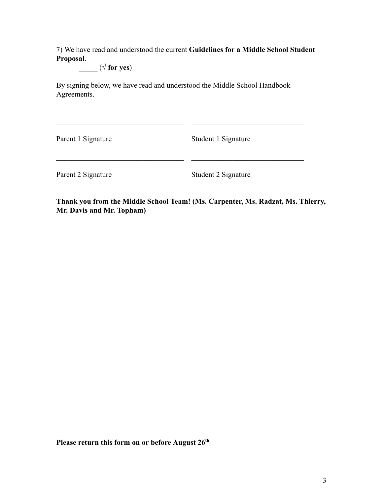7) We have read and understood the current **Guidelines for a Middle School Student Proposal**.

 $(\sqrt{\text{for yes}})$ 

By signing below, we have read and understood the Middle School Handbook Agreements.

Parent 1 Signature Student 1 Signature

Parent 2 Signature Student 2 Signature

**Thank you from the Middle School Team! (Ms. Carpenter, Ms. Radzat, Ms. Thierry, Mr. Davis and Mr. Topham)**

**Please return this form on or before August 26th**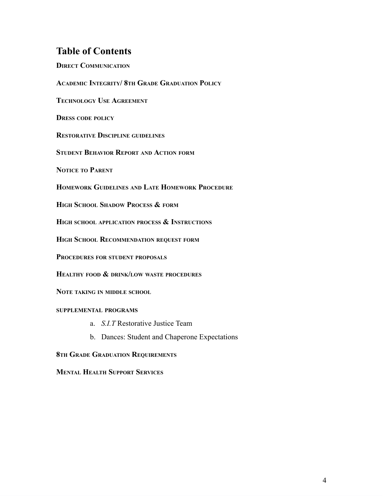# **Table of Contents**

**DIRECT COMMUNICATION ACADEMIC INTEGRITY/ 8TH GRADE GRADUATION POLICY TECHNOLOGY USE AGREEMENT DRESS CODE POLICY RESTORATIVE DISCIPLINE GUIDELINES STUDENT BEHAVIOR REPORT AND ACTION FORM NOTICE TO PARENT HOMEWORK GUIDELINES AND LATE HOMEWORK PROCEDURE HIGH SCHOOL SHADOW PROCESS & FORM HIGH SCHOOL APPLICATION PROCESS & INSTRUCTIONS HIGH SCHOOL RECOMMENDATION REQUEST FORM PROCEDURES FOR STUDENT PROPOSALS HEALTHY FOOD & DRINK/LOW WASTE PROCEDURES NOTE TAKING IN MIDDLE SCHOOL SUPPLEMENTAL PROGRAMS** a. *S.I.T* Restorative Justice Team b. Dances: Student and Chaperone Expectations

**8TH GRADE GRADUATION REQUIREMENTS**

**MENTAL HEALTH SUPPORT SERVICES**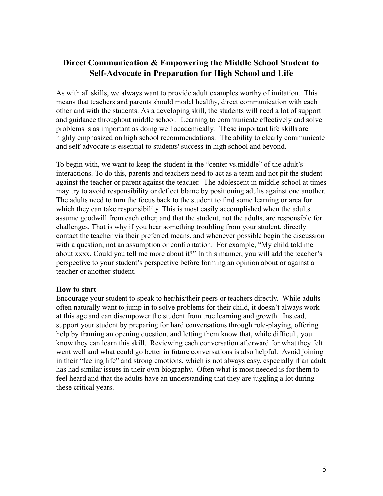# **Direct Communication & Empowering the Middle School Student to Self-Advocate in Preparation for High School and Life**

As with all skills, we always want to provide adult examples worthy of imitation. This means that teachers and parents should model healthy, direct communication with each other and with the students. As a developing skill, the students will need a lot of support and guidance throughout middle school. Learning to communicate effectively and solve problems is as important as doing well academically. These important life skills are highly emphasized on high school recommendations. The ability to clearly communicate and self-advocate is essential to students' success in high school and beyond.

To begin with, we want to keep the student in the "center vs.middle" of the adult's interactions. To do this, parents and teachers need to act as a team and not pit the student against the teacher or parent against the teacher. The adolescent in middle school at times may try to avoid responsibility or deflect blame by positioning adults against one another. The adults need to turn the focus back to the student to find some learning or area for which they can take responsibility. This is most easily accomplished when the adults assume goodwill from each other, and that the student, not the adults, are responsible for challenges. That is why if you hear something troubling from your student, directly contact the teacher via their preferred means, and whenever possible begin the discussion with a question, not an assumption or confrontation. For example, "My child told me about xxxx. Could you tell me more about it?" In this manner, you will add the teacher's perspective to your student's perspective before forming an opinion about or against a teacher or another student.

#### **How to start**

Encourage your student to speak to her/his/their peers or teachers directly. While adults often naturally want to jump in to solve problems for their child, it doesn't always work at this age and can disempower the student from true learning and growth. Instead, support your student by preparing for hard conversations through role-playing, offering help by framing an opening question, and letting them know that, while difficult, you know they can learn this skill. Reviewing each conversation afterward for what they felt went well and what could go better in future conversations is also helpful. Avoid joining in their "feeling life" and strong emotions, which is not always easy, especially if an adult has had similar issues in their own biography. Often what is most needed is for them to feel heard and that the adults have an understanding that they are juggling a lot during these critical years.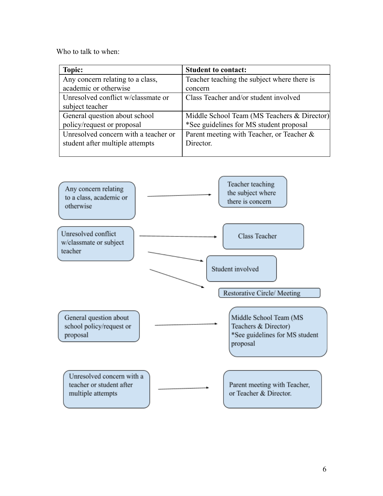Who to talk to when:

| Topic:                               | <b>Student to contact:</b>                  |
|--------------------------------------|---------------------------------------------|
| Any concern relating to a class,     | Teacher teaching the subject where there is |
| academic or otherwise                | concern                                     |
| Unresolved conflict w/classmate or   | Class Teacher and/or student involved       |
| subject teacher                      |                                             |
| General question about school        | Middle School Team (MS Teachers & Director) |
| policy/request or proposal           | *See guidelines for MS student proposal     |
| Unresolved concern with a teacher or | Parent meeting with Teacher, or Teacher &   |
| student after multiple attempts      | Director.                                   |
|                                      |                                             |

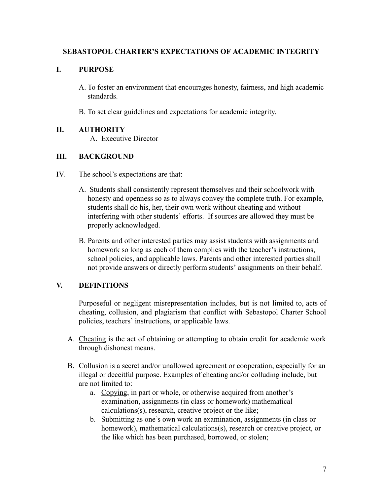### **SEBASTOPOL CHARTER'S EXPECTATIONS OF ACADEMIC INTEGRITY**

### **I. PURPOSE**

- A. To foster an environment that encourages honesty, fairness, and high academic standards.
- B. To set clear guidelines and expectations for academic integrity.

#### **II. AUTHORITY**

A. Executive Director

#### **III. BACKGROUND**

- IV. The school's expectations are that:
	- A. Students shall consistently represent themselves and their schoolwork with honesty and openness so as to always convey the complete truth. For example, students shall do his, her, their own work without cheating and without interfering with other students' efforts. If sources are allowed they must be properly acknowledged.
	- B. Parents and other interested parties may assist students with assignments and homework so long as each of them complies with the teacher's instructions, school policies, and applicable laws. Parents and other interested parties shall not provide answers or directly perform students' assignments on their behalf.

### **V. DEFINITIONS**

Purposeful or negligent misrepresentation includes, but is not limited to, acts of cheating, collusion, and plagiarism that conflict with Sebastopol Charter School policies, teachers' instructions, or applicable laws.

- A. Cheating is the act of obtaining or attempting to obtain credit for academic work through dishonest means.
- B. Collusion is a secret and/or unallowed agreement or cooperation, especially for an illegal or deceitful purpose. Examples of cheating and/or colluding include, but are not limited to:
	- a. Copying, in part or whole, or otherwise acquired from another's examination, assignments (in class or homework) mathematical calculations(s), research, creative project or the like;
	- b. Submitting as one's own work an examination, assignments (in class or homework), mathematical calculations(s), research or creative project, or the like which has been purchased, borrowed, or stolen;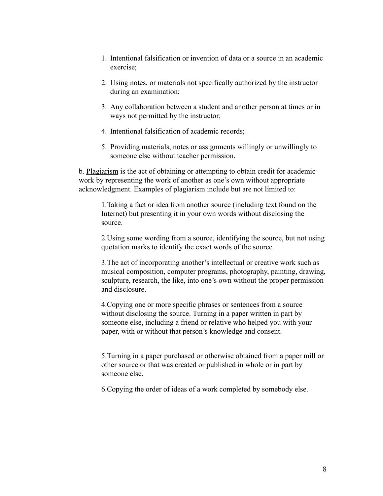- 1. Intentional falsification or invention of data or a source in an academic exercise;
- 2. Using notes, or materials not specifically authorized by the instructor during an examination;
- 3. Any collaboration between a student and another person at times or in ways not permitted by the instructor;
- 4. Intentional falsification of academic records;
- 5. Providing materials, notes or assignments willingly or unwillingly to someone else without teacher permission.

b. Plagiarism is the act of obtaining or attempting to obtain credit for academic work by representing the work of another as one's own without appropriate acknowledgment. Examples of plagiarism include but are not limited to:

1.Taking a fact or idea from another source (including text found on the Internet) but presenting it in your own words without disclosing the source.

2.Using some wording from a source, identifying the source, but not using quotation marks to identify the exact words of the source.

3.The act of incorporating another's intellectual or creative work such as musical composition, computer programs, photography, painting, drawing, sculpture, research, the like, into one's own without the proper permission and disclosure.

4.Copying one or more specific phrases or sentences from a source without disclosing the source. Turning in a paper written in part by someone else, including a friend or relative who helped you with your paper, with or without that person's knowledge and consent.

5.Turning in a paper purchased or otherwise obtained from a paper mill or other source or that was created or published in whole or in part by someone else.

6.Copying the order of ideas of a work completed by somebody else.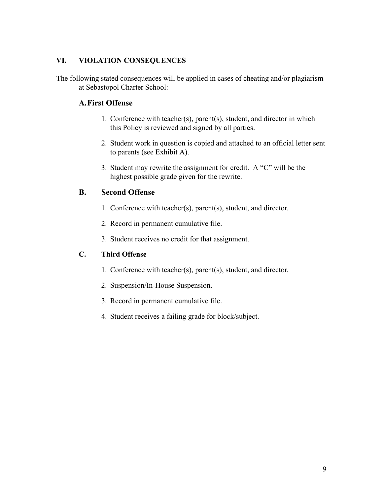### **VI. VIOLATION CONSEQUENCES**

The following stated consequences will be applied in cases of cheating and/or plagiarism at Sebastopol Charter School:

## **A.First Offense**

- 1. Conference with teacher(s), parent(s), student, and director in which this Policy is reviewed and signed by all parties.
- 2. Student work in question is copied and attached to an official letter sent to parents (see Exhibit A).
- 3. Student may rewrite the assignment for credit. A "C" will be the highest possible grade given for the rewrite.

### **B. Second Offense**

- 1. Conference with teacher(s), parent(s), student, and director.
- 2. Record in permanent cumulative file.
- 3. Student receives no credit for that assignment.

### **C. Third Offense**

- 1. Conference with teacher(s), parent(s), student, and director.
- 2. Suspension/In-House Suspension.
- 3. Record in permanent cumulative file.
- 4. Student receives a failing grade for block/subject.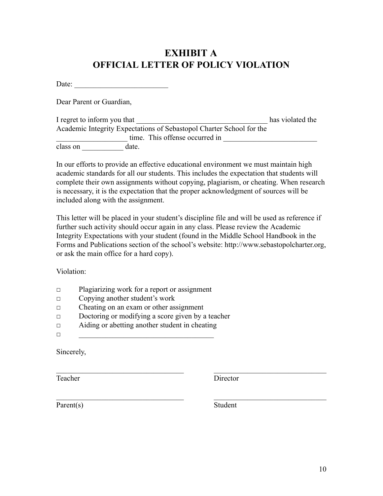# **EXHIBIT A OFFICIAL LETTER OF POLICY VIOLATION**

Date: \_\_\_\_\_\_\_\_\_\_\_\_\_\_\_\_\_\_\_\_\_\_\_\_\_

Dear Parent or Guardian,

| I regret to inform you that |       |                                                                      | has violated the |
|-----------------------------|-------|----------------------------------------------------------------------|------------------|
|                             |       | Academic Integrity Expectations of Sebastopol Charter School for the |                  |
|                             |       | time. This offense occurred in                                       |                  |
| class on                    | date. |                                                                      |                  |

In our efforts to provide an effective educational environment we must maintain high academic standards for all our students. This includes the expectation that students will complete their own assignments without copying, plagiarism, or cheating. When research is necessary, it is the expectation that the proper acknowledgment of sources will be included along with the assignment.

This letter will be placed in your student's discipline file and will be used as reference if further such activity should occur again in any class. Please review the Academic Integrity Expectations with your student (found in the Middle School Handbook in the Forms and Publications section of the school's website: http://www.sebastopolcharter.org, or ask the main office for a hard copy).

Violation:

- □ Plagiarizing work for a report or assignment
- □ Copying another student's work
- □ Cheating on an exam or other assignment
- □ Doctoring or modifying a score given by a teacher
- □ Aiding or abetting another student in cheating
- $\Box$

Sincerely,

Teacher Director

Parent(s) Student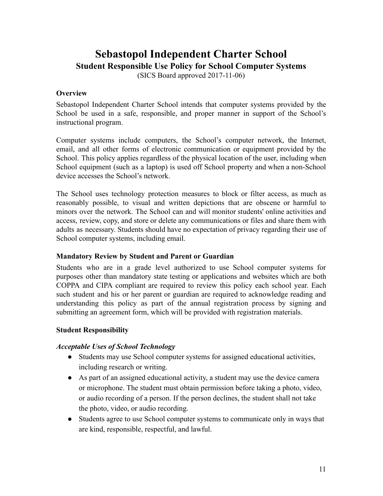# **Sebastopol Independent Charter School Student Responsible Use Policy for School Computer Systems**

(SICS Board approved 2017-11-06)

### **Overview**

Sebastopol Independent Charter School intends that computer systems provided by the School be used in a safe, responsible, and proper manner in support of the School's instructional program.

Computer systems include computers, the School's computer network, the Internet, email, and all other forms of electronic communication or equipment provided by the School. This policy applies regardless of the physical location of the user, including when School equipment (such as a laptop) is used off School property and when a non-School device accesses the School's network.

The School uses technology protection measures to block or filter access, as much as reasonably possible, to visual and written depictions that are obscene or harmful to minors over the network. The School can and will monitor students' online activities and access, review, copy, and store or delete any communications or files and share them with adults as necessary. Students should have no expectation of privacy regarding their use of School computer systems, including email.

### **Mandatory Review by Student and Parent or Guardian**

Students who are in a grade level authorized to use School computer systems for purposes other than mandatory state testing or applications and websites which are both COPPA and CIPA compliant are required to review this policy each school year. Each such student and his or her parent or guardian are required to acknowledge reading and understanding this policy as part of the annual registration process by signing and submitting an agreement form, which will be provided with registration materials.

#### **Student Responsibility**

### *Acceptable Uses of School Technology*

- Students may use School computer systems for assigned educational activities, including research or writing.
- As part of an assigned educational activity, a student may use the device camera or microphone. The student must obtain permission before taking a photo, video, or audio recording of a person. If the person declines, the student shall not take the photo, video, or audio recording.
- Students agree to use School computer systems to communicate only in ways that are kind, responsible, respectful, and lawful.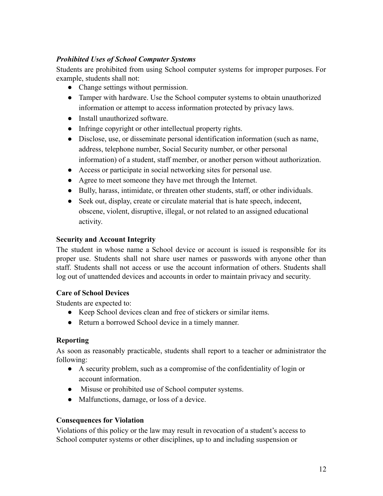### *Prohibited Uses of School Computer Systems*

Students are prohibited from using School computer systems for improper purposes. For example, students shall not:

- Change settings without permission.
- Tamper with hardware. Use the School computer systems to obtain unauthorized information or attempt to access information protected by privacy laws.
- Install unauthorized software.
- Infringe copyright or other intellectual property rights.
- Disclose, use, or disseminate personal identification information (such as name, address, telephone number, Social Security number, or other personal information) of a student, staff member, or another person without authorization.
- Access or participate in social networking sites for personal use.
- Agree to meet someone they have met through the Internet.
- Bully, harass, intimidate, or threaten other students, staff, or other individuals.
- Seek out, display, create or circulate material that is hate speech, indecent, obscene, violent, disruptive, illegal, or not related to an assigned educational activity.

### **Security and Account Integrity**

The student in whose name a School device or account is issued is responsible for its proper use. Students shall not share user names or passwords with anyone other than staff. Students shall not access or use the account information of others. Students shall log out of unattended devices and accounts in order to maintain privacy and security.

### **Care of School Devices**

Students are expected to:

- Keep School devices clean and free of stickers or similar items.
- Return a borrowed School device in a timely manner.

### **Reporting**

As soon as reasonably practicable, students shall report to a teacher or administrator the following:

- A security problem, such as a compromise of the confidentiality of login or account information.
- Misuse or prohibited use of School computer systems.
- Malfunctions, damage, or loss of a device.

### **Consequences for Violation**

Violations of this policy or the law may result in revocation of a student's access to School computer systems or other disciplines, up to and including suspension or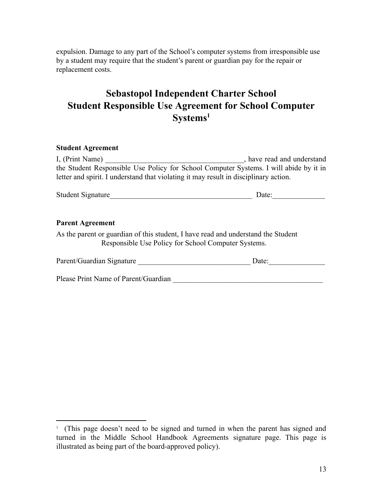expulsion. Damage to any part of the School's computer systems from irresponsible use by a student may require that the student's parent or guardian pay for the repair or replacement costs.

# **Sebastopol Independent Charter School Student Responsible Use Agreement for School Computer Systems 1**

#### **Student Agreement**

| I, (Print Name)                                                                       | , have read and understand |
|---------------------------------------------------------------------------------------|----------------------------|
| the Student Responsible Use Policy for School Computer Systems. I will abide by it in |                            |
| letter and spirit. I understand that violating it may result in disciplinary action.  |                            |

|  | <b>Student Signature</b> |  |  |
|--|--------------------------|--|--|
|--|--------------------------|--|--|

#### **Parent Agreement**

As the parent or guardian of this student, I have read and understand the Student Responsible Use Policy for School Computer Systems.

| Parent/Guardian Signature | Jate |
|---------------------------|------|
|                           |      |

Please Print Name of Parent/Guardian **Department** of  $P$  and  $P$  and  $P$  and  $P$  and  $P$  and  $P$  and  $P$  and  $P$  and  $P$  and  $P$  and  $P$  and  $P$  and  $P$  and  $P$  and  $P$  and  $P$  and  $P$  and  $P$  and  $P$  and  $P$  and  $P$  and

<sup>1</sup> (This page doesn't need to be signed and turned in when the parent has signed and turned in the Middle School Handbook Agreements signature page. This page is illustrated as being part of the board-approved policy).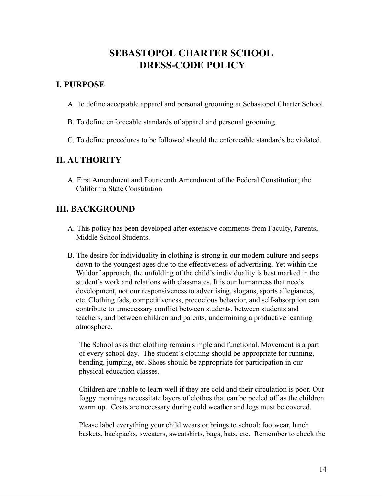# **SEBASTOPOL CHARTER SCHOOL DRESS-CODE POLICY**

### **I. PURPOSE**

- A. To define acceptable apparel and personal grooming at Sebastopol Charter School.
- B. To define enforceable standards of apparel and personal grooming.
- C. To define procedures to be followed should the enforceable standards be violated.

### **II. AUTHORITY**

A. First Amendment and Fourteenth Amendment of the Federal Constitution; the California State Constitution

### **III. BACKGROUND**

- A. This policy has been developed after extensive comments from Faculty, Parents, Middle School Students.
- B. The desire for individuality in clothing is strong in our modern culture and seeps down to the youngest ages due to the effectiveness of advertising. Yet within the Waldorf approach, the unfolding of the child's individuality is best marked in the student's work and relations with classmates. It is our humanness that needs development, not our responsiveness to advertising, slogans, sports allegiances, etc. Clothing fads, competitiveness, precocious behavior, and self-absorption can contribute to unnecessary conflict between students, between students and teachers, and between children and parents, undermining a productive learning atmosphere.

The School asks that clothing remain simple and functional. Movement is a part of every school day. The student's clothing should be appropriate for running, bending, jumping, etc. Shoes should be appropriate for participation in our physical education classes.

Children are unable to learn well if they are cold and their circulation is poor. Our foggy mornings necessitate layers of clothes that can be peeled off as the children warm up. Coats are necessary during cold weather and legs must be covered.

Please label everything your child wears or brings to school: footwear, lunch baskets, backpacks, sweaters, sweatshirts, bags, hats, etc. Remember to check the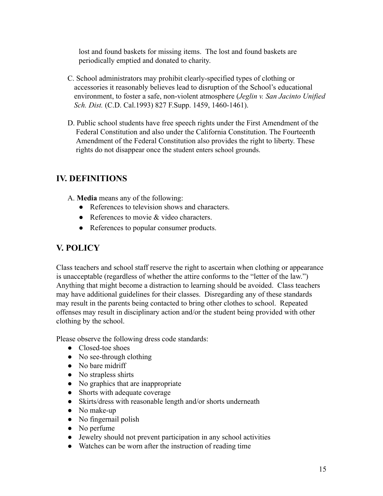lost and found baskets for missing items. The lost and found baskets are periodically emptied and donated to charity.

- C. School administrators may prohibit clearly-specified types of clothing or accessories it reasonably believes lead to disruption of the School's educational environment, to foster a safe, non-violent atmosphere (*Jeglin v. San Jacinto Unified Sch. Dist.* (C.D. Cal.1993) 827 F.Supp. 1459, 1460-1461).
- D. Public school students have free speech rights under the First Amendment of the Federal Constitution and also under the California Constitution. The Fourteenth Amendment of the Federal Constitution also provides the right to liberty. These rights do not disappear once the student enters school grounds.

# **IV. DEFINITIONS**

- A. **Media** means any of the following:
	- References to television shows and characters.
	- References to movie & video characters.
	- References to popular consumer products.

# **V. POLICY**

Class teachers and school staff reserve the right to ascertain when clothing or appearance is unacceptable (regardless of whether the attire conforms to the "letter of the law.") Anything that might become a distraction to learning should be avoided. Class teachers may have additional guidelines for their classes. Disregarding any of these standards may result in the parents being contacted to bring other clothes to school. Repeated offenses may result in disciplinary action and/or the student being provided with other clothing by the school.

Please observe the following dress code standards:

- Closed-toe shoes
- No see-through clothing
- No bare midriff
- No strapless shirts
- No graphics that are inappropriate
- Shorts with adequate coverage
- Skirts/dress with reasonable length and/or shorts underneath
- No make-up
- No fingernail polish
- No perfume
- Jewelry should not prevent participation in any school activities
- Watches can be worn after the instruction of reading time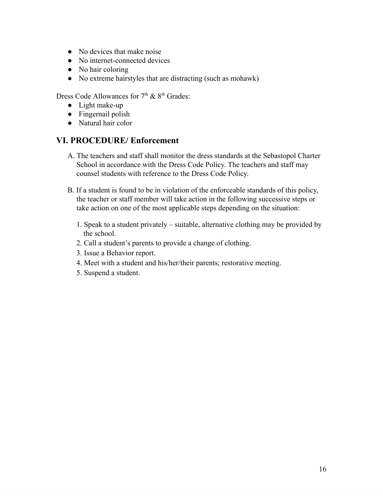- No devices that make noise
- No internet-connected devices
- No hair coloring
- No extreme hairstyles that are distracting (such as mohawk)

Dress Code Allowances for  $7<sup>th</sup>$  &  $8<sup>th</sup>$  Grades:

- Light make-up
- Fingernail polish
- Natural hair color

# **VI. PROCEDURE/ Enforcement**

- A. The teachers and staff shall monitor the dress standards at the Sebastopol Charter School in accordance with the Dress Code Policy. The teachers and staff may counsel students with reference to the Dress Code Policy.
- B. If a student is found to be in violation of the enforceable standards of this policy, the teacher or staff member will take action in the following successive steps or take action on one of the most applicable steps depending on the situation:
	- 1. Speak to a student privately suitable, alternative clothing may be provided by the school.
	- 2. Call a student's parents to provide a change of clothing.
	- 3. Issue a Behavior report.
	- 4. Meet with a student and his/her/their parents; restorative meeting.
	- 5. Suspend a student.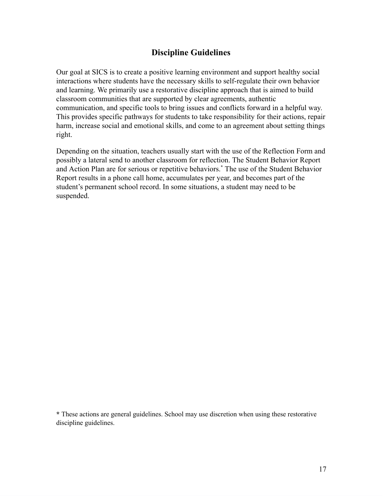# **Discipline Guidelines**

Our goal at SICS is to create a positive learning environment and support healthy social interactions where students have the necessary skills to self-regulate their own behavior and learning. We primarily use a restorative discipline approach that is aimed to build classroom communities that are supported by clear agreements, authentic communication, and specific tools to bring issues and conflicts forward in a helpful way. This provides specific pathways for students to take responsibility for their actions, repair harm, increase social and emotional skills, and come to an agreement about setting things right.

Depending on the situation, teachers usually start with the use of the Reflection Form and possibly a lateral send to another classroom for reflection. The Student Behavior Report and Action Plan are for serious or repetitive behaviors.**\*** The use of the Student Behavior Report results in a phone call home, accumulates per year, and becomes part of the student's permanent school record. In some situations, a student may need to be suspended.

**\*** These actions are general guidelines. School may use discretion when using these restorative discipline guidelines.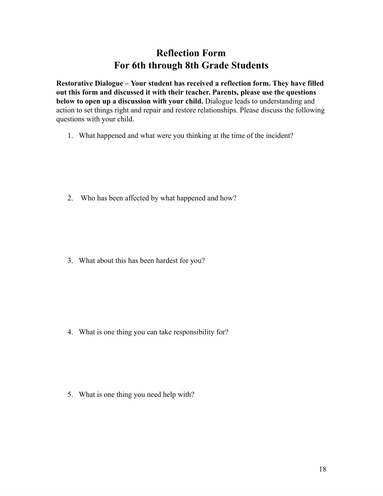# **Reflection Form For 6th through 8th Grade Students**

**Restorative Dialogue – Your student has received a reflection form. They have filled out this form and discussed it with their teacher. Parents, please use the questions below to open up a discussion with your child.** Dialogue leads to understanding and action to set things right and repair and restore relationships. Please discuss the following questions with your child.

1. What happened and what were you thinking at the time of the incident?

2. Who has been affected by what happened and how?

3. What about this has been hardest for you?

4. What is one thing you can take responsibility for?

5. What is one thing you need help with?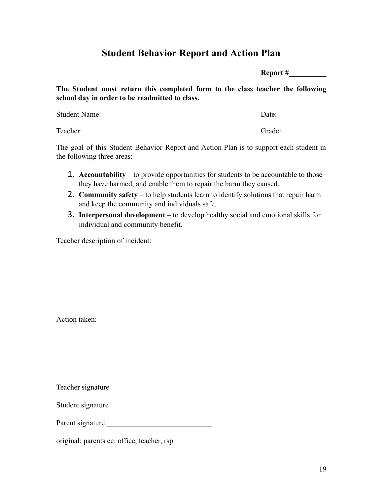# **Student Behavior Report and Action Plan**

**Report #\_\_\_\_\_\_\_\_\_\_**

**The Student must return this completed form to the class teacher the following school day in order to be readmitted to class.**

Student Name: Date: Date: Date: Date: Date: Date: Date: Date: Date: Date: Date: Date: Date: Date: Date: Date: Date: Date: Date: Date: Date: Date: Date: Date: Date: Date: Date: Date: Date: Date: Date: Date: Date: Date: Date

Teacher: Grade: Grade: Grade: Grade: Grade: Grade: Grade: Grade: Grade: Grade: Grade: Grade: Grade: Grade: Grade: Grade: Grade: Grade: Grade: Grade: Grade: Grade: Grade: Grade: Grade: Grade: Grade: Grade: Grade: Grade: Gra

The goal of this Student Behavior Report and Action Plan is to support each student in the following three areas:

- 1. **Accountability** to provide opportunities for students to be accountable to those they have harmed, and enable them to repair the harm they caused.
- 2. **Community safety** to help students learn to identify solutions that repair harm and keep the community and individuals safe.
- 3. **Interpersonal development** to develop healthy social and emotional skills for individual and community benefit.

Teacher description of incident:

Action taken:

Teacher signature \_\_\_\_\_\_\_\_\_\_\_\_\_\_\_\_\_\_\_\_\_\_\_\_\_\_\_

Student signature \_\_\_\_\_\_\_\_\_\_\_\_\_\_\_\_\_\_\_\_\_\_\_\_\_\_\_

Parent signature

original: parents cc: office, teacher, rsp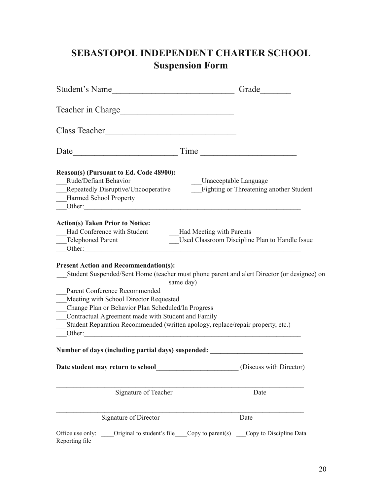# **SEBASTOPOL INDEPENDENT CHARTER SCHOOL Suspension Form**

| Student's Name                                                                                                                                                                                                                      | Grade<br><u> 1980 - Jan Barbara Barbara, manazarta da kasas da kasas da kasas da kasas da kasas da kasas da kasas da kasa</u>                                                              |
|-------------------------------------------------------------------------------------------------------------------------------------------------------------------------------------------------------------------------------------|--------------------------------------------------------------------------------------------------------------------------------------------------------------------------------------------|
| Teacher in Charge                                                                                                                                                                                                                   |                                                                                                                                                                                            |
| Class Teacher                                                                                                                                                                                                                       | <u> 1989 - Johann Barbara, martxa alemaniar a</u>                                                                                                                                          |
| Date                                                                                                                                                                                                                                |                                                                                                                                                                                            |
| Reason(s) (Pursuant to Ed. Code 48900):<br>Rude/Defiant Behavior<br>Repeatedly Disruptive/Uncooperative<br>Harmed School Property<br>Other:                                                                                         | Unacceptable Language<br><b>Fighting or Threatening another Student</b>                                                                                                                    |
| <b>Action(s) Taken Prior to Notice:</b><br>Had Conference with Student<br><b>Telephoned Parent</b><br>Other:                                                                                                                        | <b>Had Meeting with Parents</b><br>Used Classroom Discipline Plan to Handle Issue                                                                                                          |
| <b>Present Action and Recommendation(s):</b><br>Parent Conference Recommended<br>Meeting with School Director Requested<br>Change Plan or Behavior Plan Scheduled/In Progress<br>Contractual Agreement made with Student and Family | Student Suspended/Sent Home (teacher must phone parent and alert Director (or designee) on<br>same day)<br>Student Reparation Recommended (written apology, replace/repair property, etc.) |
|                                                                                                                                                                                                                                     | Number of days (including partial days) suspended:                                                                                                                                         |
| Date student may return to school                                                                                                                                                                                                   | (Discuss with Director)                                                                                                                                                                    |
| Signature of Teacher                                                                                                                                                                                                                | Date                                                                                                                                                                                       |
| Signature of Director                                                                                                                                                                                                               | Date                                                                                                                                                                                       |
| Office use only:<br>Reporting file                                                                                                                                                                                                  | Original to student's file Copy to parent(s) Copy to Discipline Data                                                                                                                       |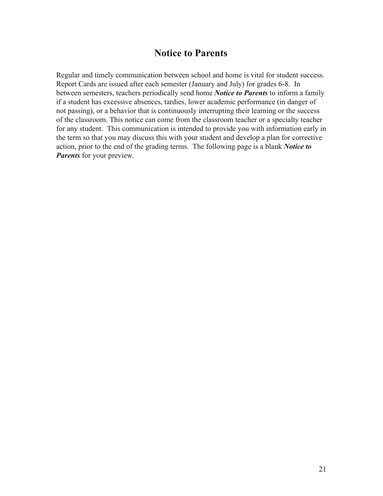# **Notice to Parents**

Regular and timely communication between school and home is vital for student success. Report Cards are issued after each semester (January and July) for grades 6-8. In between semesters, teachers periodically send home *Notice to Parents* to inform a family if a student has excessive absences, tardies, lower academic performance (in danger of not passing), or a behavior that is continuously interrupting their learning or the success of the classroom. This notice can come from the classroom teacher or a specialty teacher for any student. This communication is intended to provide you with information early in the term so that you may discuss this with your student and develop a plan for corrective action, prior to the end of the grading terms. The following page is a blank *Notice to Parents* for your preview.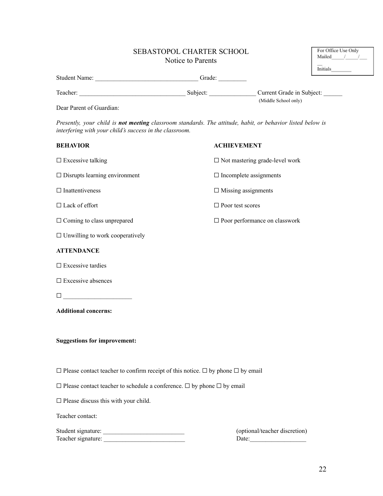# SEBASTOPOL CHARTER SCHOOL

|                      | 969791919196 CHARTER SCHOOL<br>Notice to Parents |                           | Mailed<br>Initials |
|----------------------|--------------------------------------------------|---------------------------|--------------------|
| <b>Student Name:</b> | Grade:                                           |                           |                    |
| Teacher:             | Subject:                                         | Current Grade in Subject: |                    |
|                      |                                                  | (Middle School only)      |                    |

Dear Parent of Guardian:

*Presently, your child is not meeting classroom standards. The attitude, habit, or behavior listed below is interfering with your child's success in the classroom.*

| <b>BEHAVIOR</b>                                                                                  | <b>ACHIEVEMENT</b>                       |
|--------------------------------------------------------------------------------------------------|------------------------------------------|
| $\square$ Excessive talking                                                                      | $\square$ Not mastering grade-level work |
| $\Box$ Disrupts learning environment                                                             | $\Box$ Incomplete assignments            |
| $\Box$ Inattentiveness                                                                           | $\Box$ Missing assignments               |
| $\Box$ Lack of effort                                                                            | $\Box$ Poor test scores                  |
| $\Box$ Coming to class unprepared                                                                | $\square$ Poor performance on classwork  |
| $\Box$ Unwilling to work cooperatively                                                           |                                          |
| <b>ATTENDANCE</b>                                                                                |                                          |
| $\square$ Excessive tardies                                                                      |                                          |
| $\square$ Excessive absences                                                                     |                                          |
| $\Box \underbrace{\hspace{2cm}}$                                                                 |                                          |
| <b>Additional concerns:</b>                                                                      |                                          |
|                                                                                                  |                                          |
| <b>Suggestions for improvement:</b>                                                              |                                          |
|                                                                                                  |                                          |
| $\Box$ Please contact teacher to confirm receipt of this notice. $\Box$ by phone $\Box$ by email |                                          |
| $\square$ Please contact teacher to schedule a conference. $\square$ by phone $\square$ by email |                                          |
| $\square$ Please discuss this with your child.                                                   |                                          |
| Teacher contact:                                                                                 |                                          |

Student signature: \_\_\_\_\_\_\_\_\_\_\_\_\_\_\_\_\_\_\_\_\_\_\_\_\_\_ (optional/teacher discretion) Teacher signature: \_\_\_\_\_\_\_\_\_\_\_\_\_\_\_\_\_\_\_\_\_\_\_\_\_\_ Date:\_\_\_\_\_\_\_\_\_\_\_\_\_\_\_\_\_\_

For Office Use Only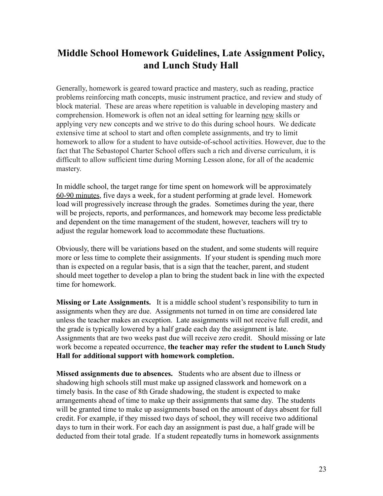# **Middle School Homework Guidelines, Late Assignment Policy, and Lunch Study Hall**

Generally, homework is geared toward practice and mastery, such as reading, practice problems reinforcing math concepts, music instrument practice, and review and study of block material. These are areas where repetition is valuable in developing mastery and comprehension. Homework is often not an ideal setting for learning new skills or applying very new concepts and we strive to do this during school hours. We dedicate extensive time at school to start and often complete assignments, and try to limit homework to allow for a student to have outside-of-school activities. However, due to the fact that The Sebastopol Charter School offers such a rich and diverse curriculum, it is difficult to allow sufficient time during Morning Lesson alone, for all of the academic mastery.

In middle school, the target range for time spent on homework will be approximately 60-90 minutes, five days a week, for a student performing at grade level. Homework load will progressively increase through the grades. Sometimes during the year, there will be projects, reports, and performances, and homework may become less predictable and dependent on the time management of the student, however, teachers will try to adjust the regular homework load to accommodate these fluctuations.

Obviously, there will be variations based on the student, and some students will require more or less time to complete their assignments. If your student is spending much more than is expected on a regular basis, that is a sign that the teacher, parent, and student should meet together to develop a plan to bring the student back in line with the expected time for homework.

**Missing or Late Assignments.** It is a middle school student's responsibility to turn in assignments when they are due. Assignments not turned in on time are considered late unless the teacher makes an exception. Late assignments will not receive full credit, and the grade is typically lowered by a half grade each day the assignment is late. Assignments that are two weeks past due will receive zero credit. Should missing or late work become a repeated occurrence, **the teacher may refer the student to Lunch Study Hall for additional support with homework completion.**

**Missed assignments due to absences.** Students who are absent due to illness or shadowing high schools still must make up assigned classwork and homework on a timely basis. In the case of 8th Grade shadowing, the student is expected to make arrangements ahead of time to make up their assignments that same day. The students will be granted time to make up assignments based on the amount of days absent for full credit. For example, if they missed two days of school, they will receive two additional days to turn in their work. For each day an assignment is past due, a half grade will be deducted from their total grade. If a student repeatedly turns in homework assignments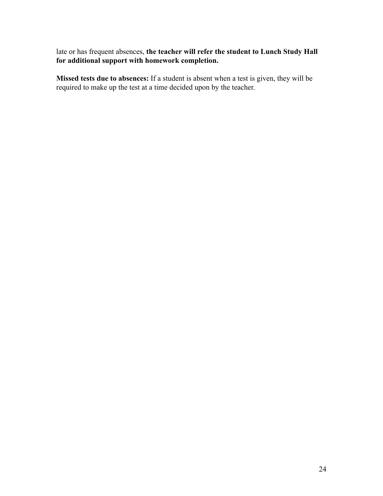late or has frequent absences, **the teacher will refer the student to Lunch Study Hall for additional support with homework completion.**

**Missed tests due to absences:** If a student is absent when a test is given, they will be required to make up the test at a time decided upon by the teacher.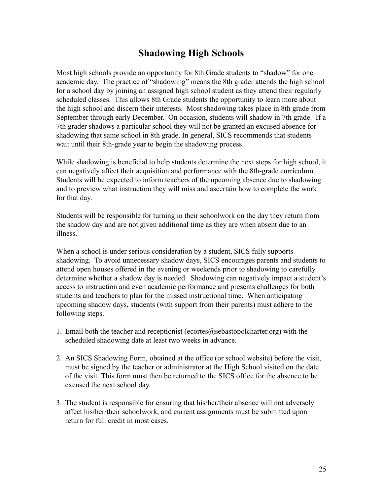# **Shadowing High Schools**

Most high schools provide an opportunity for 8th Grade students to "shadow" for one academic day. The practice of "shadowing" means the 8th grader attends the high school for a school day by joining an assigned high school student as they attend their regularly scheduled classes. This allows 8th Grade students the opportunity to learn more about the high school and discern their interests. Most shadowing takes place in 8th grade from September through early December. On occasion, students will shadow in 7th grade. If a 7th grader shadows a particular school they will not be granted an excused absence for shadowing that same school in 8th grade. In general, SICS recommends that students wait until their 8th-grade year to begin the shadowing process.

While shadowing is beneficial to help students determine the next steps for high school, it can negatively affect their acquisition and performance with the 8th-grade curriculum. Students will be expected to inform teachers of the upcoming absence due to shadowing and to preview what instruction they will miss and ascertain how to complete the work for that day.

Students will be responsible for turning in their schoolwork on the day they return from the shadow day and are not given additional time as they are when absent due to an illness.

When a school is under serious consideration by a student, SICS fully supports shadowing. To avoid unnecessary shadow days, SICS encourages parents and students to attend open houses offered in the evening or weekends prior to shadowing to carefully determine whether a shadow day is needed. Shadowing can negatively impact a student's access to instruction and even academic performance and presents challenges for both students and teachers to plan for the missed instructional time. When anticipating upcoming shadow days, students (with support from their parents) must adhere to the following steps.

- 1. Email both the teacher and receptionist (ecortes $@$ sebastopolcharter.org) with the scheduled shadowing date at least two weeks in advance.
- 2. An SICS Shadowing Form, obtained at the office (or school website) before the visit, must be signed by the teacher or administrator at the High School visited on the date of the visit. This form must then be returned to the SICS office for the absence to be excused the next school day.
- 3. The student is responsible for ensuring that his/her/their absence will not adversely affect his/her/their schoolwork, and current assignments must be submitted upon return for full credit in most cases.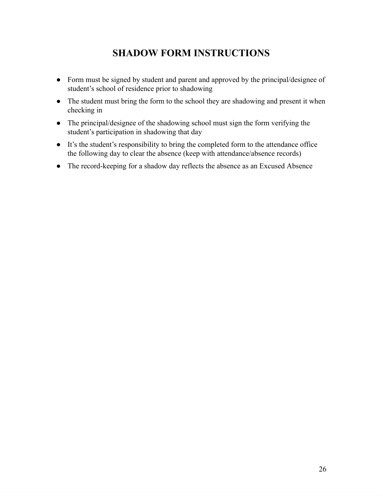# **SHADOW FORM INSTRUCTIONS**

- Form must be signed by student and parent and approved by the principal/designee of student's school of residence prior to shadowing
- The student must bring the form to the school they are shadowing and present it when checking in
- The principal/designee of the shadowing school must sign the form verifying the student's participation in shadowing that day
- It's the student's responsibility to bring the completed form to the attendance office the following day to clear the absence (keep with attendance/absence records)
- The record-keeping for a shadow day reflects the absence as an Excused Absence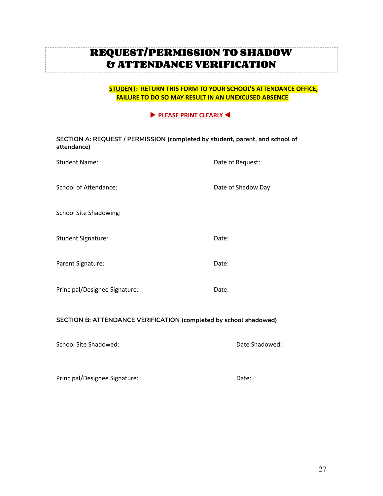# **REQUEST/PERMISSION TO SHADOW & ATTENDANCE VERIFICATION**

**STUDENT: RETURN THIS FORM TO YOUR SCHOOL'S ATTENDANCE OFFICE, FAILURE TO DO SO MAY RESULT IN AN UNEXCUSED ABSENCE**

#### ▶ **PLEASE PRINT CLEARLY** ◀

| <b>SECTION A: REQUEST / PERMISSION (completed by student, parent, and school of</b><br>attendance) |                     |
|----------------------------------------------------------------------------------------------------|---------------------|
| <b>Student Name:</b>                                                                               | Date of Request:    |
| <b>School of Attendance:</b>                                                                       | Date of Shadow Day: |
| <b>School Site Shadowing:</b>                                                                      |                     |
| <b>Student Signature:</b>                                                                          | Date:               |
| Parent Signature:                                                                                  | Date:               |
| Principal/Designee Signature:                                                                      | Date:               |
|                                                                                                    |                     |

#### **SECTION B: ATTENDANCE VERIFICATION (completed by school shadowed)**

School Site Shadowed: Date Shadowed:

-------------

Principal/Designee Signature: Date: Date: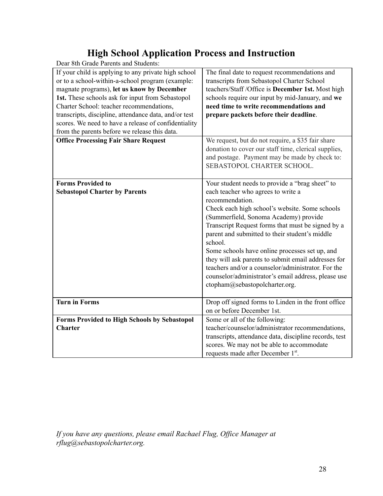# **High School Application Process and Instruction**

| Deal oui Graue i archis and Buddents.                 |                                                        |
|-------------------------------------------------------|--------------------------------------------------------|
| If your child is applying to any private high school  | The final date to request recommendations and          |
| or to a school-within-a-school program (example:      | transcripts from Sebastopol Charter School             |
| magnate programs), let us know by December            | teachers/Staff /Office is December 1st. Most high      |
| 1st. These schools ask for input from Sebastopol      | schools require our input by mid-January, and we       |
| Charter School: teacher recommendations,              | need time to write recommendations and                 |
| transcripts, discipline, attendance data, and/or test | prepare packets before their deadline.                 |
| scores. We need to have a release of confidentiality  |                                                        |
| from the parents before we release this data.         |                                                        |
| <b>Office Processing Fair Share Request</b>           | We request, but do not require, a \$35 fair share      |
|                                                       | donation to cover our staff time, clerical supplies,   |
|                                                       | and postage. Payment may be made by check to:          |
|                                                       | SEBASTOPOL CHARTER SCHOOL.                             |
|                                                       |                                                        |
| <b>Forms Provided to</b>                              | Your student needs to provide a "brag sheet" to        |
| <b>Sebastopol Charter by Parents</b>                  | each teacher who agrees to write a                     |
|                                                       | recommendation.                                        |
|                                                       | Check each high school's website. Some schools         |
|                                                       |                                                        |
|                                                       | (Summerfield, Sonoma Academy) provide                  |
|                                                       | Transcript Request forms that must be signed by a      |
|                                                       | parent and submitted to their student's middle         |
|                                                       | school.                                                |
|                                                       | Some schools have online processes set up, and         |
|                                                       | they will ask parents to submit email addresses for    |
|                                                       | teachers and/or a counselor/administrator. For the     |
|                                                       | counselor/administrator's email address, please use    |
|                                                       | ctopham@sebastopolcharter.org.                         |
|                                                       |                                                        |
| <b>Turn in Forms</b>                                  | Drop off signed forms to Linden in the front office    |
|                                                       | on or before December 1st.                             |
| <b>Forms Provided to High Schools by Sebastopol</b>   | Some or all of the following:                          |
| <b>Charter</b>                                        | teacher/counselor/administrator recommendations,       |
|                                                       | transcripts, attendance data, discipline records, test |
|                                                       | scores. We may not be able to accommodate              |
|                                                       | requests made after December 1st.                      |
|                                                       |                                                        |

Dear 8th Grade Parents and Students:

*If you have any questions, please email Rachael Flug, Office Manager at rflug@sebastopolcharter.org.*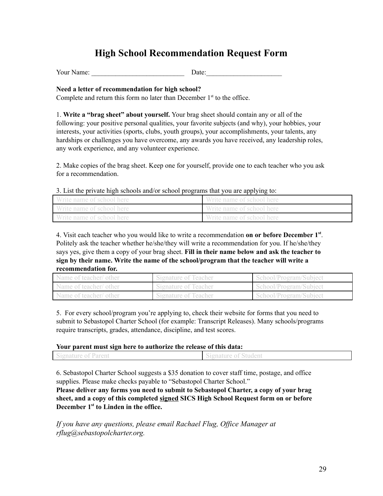# **High School Recommendation Request Form**

Your Name:  $\Box$  Date:

#### **Need a letter of recommendation for high school?**

Complete and return this form no later than December  $1<sup>st</sup>$  to the office.

1. **Write a "brag sheet" about yourself.** Your brag sheet should contain any or all of the following: your positive personal qualities, your favorite subjects (and why), your hobbies, your interests, your activities (sports, clubs, youth groups), your accomplishments, your talents, any hardships or challenges you have overcome, any awards you have received, any leadership roles, any work experience, and any volunteer experience.

2. Make copies of the brag sheet. Keep one for yourself, provide one to each teacher who you ask for a recommendation.

3. List the private high schools and/or school programs that you are applying to:

|                           | .                         |
|---------------------------|---------------------------|
| Write name of school here | Write name of school here |
| Write name of school here | Write name of school here |
| Write name of school here | Write name of school here |

4. Visit each teacher who you would like to write a recommendation **on or before December 1 st** . Politely ask the teacher whether he/she/they will write a recommendation for you. If he/she/they says yes, give them a copy of your brag sheet. **Fill in their name below and ask the teacher to sign by their name. Write the name of the school/program that the teacher will write a recommendation for.**

| Name of teacher/ other | Signature of Teacher | School/Program/Subject |
|------------------------|----------------------|------------------------|
| Name of teacher/ other | Signature of Teacher | School/Program/Subject |
| Name of teacher/ other | Signature of Teacher | School/Program/Subject |

5. For every school/program you're applying to, check their website for forms that you need to submit to Sebastopol Charter School (for example: Transcript Releases). Many schools/programs require transcripts, grades, attendance, discipline, and test scores.

#### **Your parent must sign here to authorize the release of this data:**

| Signature of Parent | Signature of Student |  |
|---------------------|----------------------|--|
|                     |                      |  |

6. Sebastopol Charter School suggests a \$35 donation to cover staff time, postage, and office supplies. Please make checks payable to "Sebastopol Charter School."

**Please deliver any forms you need to submit to Sebastopol Charter, a copy of your brag sheet, and a copy of this completed signed SICS High School Request form on or before December 1 st to Linden in the office.**

*If you have any questions, please email Rachael Flug, Office Manager at rflug@sebastopolcharter.org.*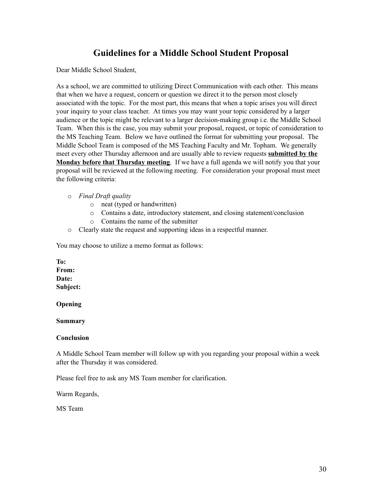# **Guidelines for a Middle School Student Proposal**

Dear Middle School Student,

As a school, we are committed to utilizing Direct Communication with each other. This means that when we have a request, concern or question we direct it to the person most closely associated with the topic. For the most part, this means that when a topic arises you will direct your inquiry to your class teacher. At times you may want your topic considered by a larger audience or the topic might be relevant to a larger decision-making group i.e. the Middle School Team. When this is the case, you may submit your proposal, request, or topic of consideration to the MS Teaching Team. Below we have outlined the format for submitting your proposal. The Middle School Team is composed of the MS Teaching Faculty and Mr. Topham. We generally meet every other Thursday afternoon and are usually able to review requests **submitted by the Monday before that Thursday meeting**. If we have a full agenda we will notify you that your proposal will be reviewed at the following meeting. For consideration your proposal must meet the following criteria:

- o *Final Draft quality*
	- o neat (typed or handwritten)
	- o Contains a date, introductory statement, and closing statement/conclusion
	- o Contains the name of the submitter
- o Clearly state the request and supporting ideas in a respectful manner.

You may choose to utilize a memo format as follows:

**To: From: Date: Subject:**

**Opening**

**Summary**

#### **Conclusion**

A Middle School Team member will follow up with you regarding your proposal within a week after the Thursday it was considered.

Please feel free to ask any MS Team member for clarification.

Warm Regards,

MS Team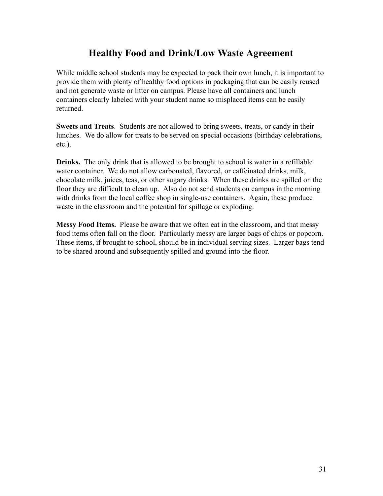# **Healthy Food and Drink/Low Waste Agreement**

While middle school students may be expected to pack their own lunch, it is important to provide them with plenty of healthy food options in packaging that can be easily reused and not generate waste or litter on campus. Please have all containers and lunch containers clearly labeled with your student name so misplaced items can be easily returned.

**Sweets and Treats**. Students are not allowed to bring sweets, treats, or candy in their lunches. We do allow for treats to be served on special occasions (birthday celebrations, etc.).

**Drinks.** The only drink that is allowed to be brought to school is water in a refillable water container. We do not allow carbonated, flavored, or caffeinated drinks, milk, chocolate milk, juices, teas, or other sugary drinks. When these drinks are spilled on the floor they are difficult to clean up. Also do not send students on campus in the morning with drinks from the local coffee shop in single-use containers. Again, these produce waste in the classroom and the potential for spillage or exploding.

**Messy Food Items.** Please be aware that we often eat in the classroom, and that messy food items often fall on the floor. Particularly messy are larger bags of chips or popcorn. These items, if brought to school, should be in individual serving sizes. Larger bags tend to be shared around and subsequently spilled and ground into the floor.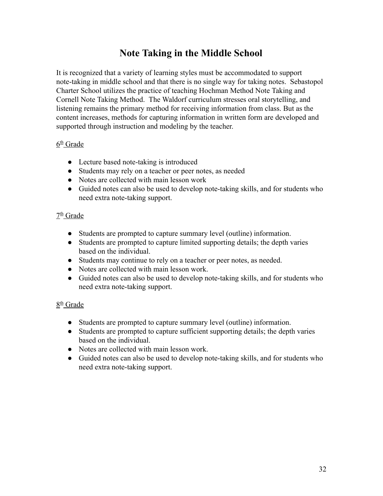# **Note Taking in the Middle School**

It is recognized that a variety of learning styles must be accommodated to support note-taking in middle school and that there is no single way for taking notes. Sebastopol Charter School utilizes the practice of teaching Hochman Method Note Taking and Cornell Note Taking Method. The Waldorf curriculum stresses oral storytelling, and listening remains the primary method for receiving information from class. But as the content increases, methods for capturing information in written form are developed and supported through instruction and modeling by the teacher.

#### 6<sup>th</sup> Grade

- Lecture based note-taking is introduced
- Students may rely on a teacher or peer notes, as needed
- Notes are collected with main lesson work
- Guided notes can also be used to develop note-taking skills, and for students who need extra note-taking support.

### 7<sup>th</sup> Grade

- Students are prompted to capture summary level (outline) information.
- Students are prompted to capture limited supporting details; the depth varies based on the individual.
- Students may continue to rely on a teacher or peer notes, as needed.
- Notes are collected with main lesson work.
- Guided notes can also be used to develop note-taking skills, and for students who need extra note-taking support.

### 8<sup>th</sup> Grade

- Students are prompted to capture summary level (outline) information.
- Students are prompted to capture sufficient supporting details; the depth varies based on the individual.
- Notes are collected with main lesson work.
- Guided notes can also be used to develop note-taking skills, and for students who need extra note-taking support.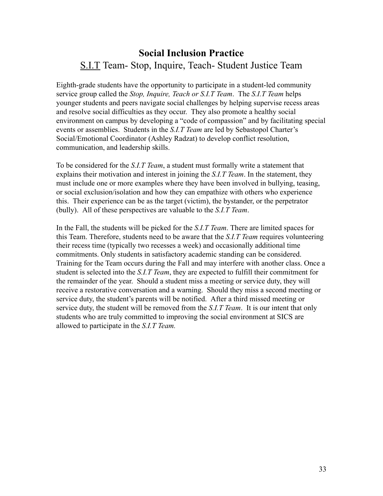# **Social Inclusion Practice** S.I.T Team- Stop, Inquire, Teach- Student Justice Team

Eighth-grade students have the opportunity to participate in a student-led community service group called the *Stop, Inquire, Teach or S.I.T Team*. The *S.I.T Team* helps younger students and peers navigate social challenges by helping supervise recess areas and resolve social difficulties as they occur. They also promote a healthy social environment on campus by developing a "code of compassion" and by facilitating special events or assemblies. Students in the *S.I.T Team* are led by Sebastopol Charter's Social/Emotional Coordinator (Ashley Radzat) to develop conflict resolution, communication, and leadership skills.

To be considered for the *S.I.T Team*, a student must formally write a statement that explains their motivation and interest in joining the *S.I.T Team*. In the statement, they must include one or more examples where they have been involved in bullying, teasing, or social exclusion/isolation and how they can empathize with others who experience this. Their experience can be as the target (victim), the bystander, or the perpetrator (bully). All of these perspectives are valuable to the *S.I.T Team*.

In the Fall, the students will be picked for the *S.I.T Team*. There are limited spaces for this Team. Therefore, students need to be aware that the *S.I.T Team* requires volunteering their recess time (typically two recesses a week) and occasionally additional time commitments. Only students in satisfactory academic standing can be considered. Training for the Team occurs during the Fall and may interfere with another class. Once a student is selected into the *S.I.T Team*, they are expected to fulfill their commitment for the remainder of the year. Should a student miss a meeting or service duty, they will receive a restorative conversation and a warning. Should they miss a second meeting or service duty, the student's parents will be notified. After a third missed meeting or service duty, the student will be removed from the *S.I.T Team*. It is our intent that only students who are truly committed to improving the social environment at SICS are allowed to participate in the *S.I.T Team.*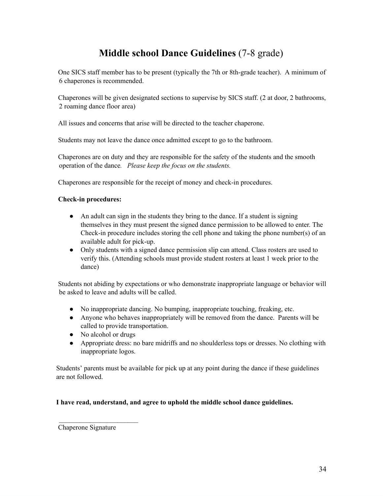# **Middle school Dance Guidelines** (7-8 grade)

One SICS staff member has to be present (typically the 7th or 8th-grade teacher). A minimum of 6 chaperones is recommended.

Chaperones will be given designated sections to supervise by SICS staff. (2 at door, 2 bathrooms, 2 roaming dance floor area)

All issues and concerns that arise will be directed to the teacher chaperone.

Students may not leave the dance once admitted except to go to the bathroom.

Chaperones are on duty and they are responsible for the safety of the students and the smooth operation of the dance*. Please keep the focus on the students.*

Chaperones are responsible for the receipt of money and check-in procedures.

#### **Check-in procedures:**

- An adult can sign in the students they bring to the dance. If a student is signing themselves in they must present the signed dance permission to be allowed to enter. The Check-in procedure includes storing the cell phone and taking the phone number(s) of an available adult for pick-up.
- Only students with a signed dance permission slip can attend. Class rosters are used to verify this. (Attending schools must provide student rosters at least 1 week prior to the dance)

Students not abiding by expectations or who demonstrate inappropriate language or behavior will be asked to leave and adults will be called.

- No inappropriate dancing. No bumping, inappropriate touching, freaking, etc.
- Anyone who behaves inappropriately will be removed from the dance. Parents will be called to provide transportation.
- No alcohol or drugs
- Appropriate dress: no bare midriffs and no shoulderless tops or dresses. No clothing with inappropriate logos.

Students' parents must be available for pick up at any point during the dance if these guidelines are not followed.

#### **I have read, understand, and agree to uphold the middle school dance guidelines.**

Chaperone Signature

 $\mathcal{L}_\text{max}$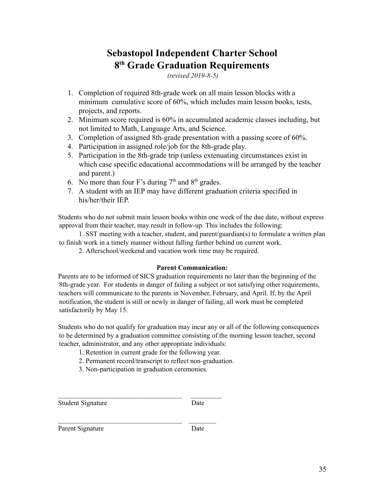# **Sebastopol Independent Charter School 8 th Grade Graduation Requirements**

*(revised 2019-8-5)*

- 1. Completion of required 8th-grade work on all main lesson blocks with a minimum cumulative score of 60%, which includes main lesson books, tests, projects, and reports.
- 2. Minimum score required is 60% in accumulated academic classes including, but not limited to Math, Language Arts, and Science.
- 3. Completion of assigned 8th-grade presentation with a passing score of 60%.
- 4. Participation in assigned role/job for the 8th-grade play.
- 5. Participation in the 8th-grade trip (unless extenuating circumstances exist in which case specific educational accommodations will be arranged by the teacher and parent.)
- 6. No more than four F's during  $7<sup>th</sup>$  and  $8<sup>th</sup>$  grades.
- 7. A student with an IEP may have different graduation criteria specified in his/her/their IEP.

Students who do not submit main lesson books within one week of the due date, without express approval from their teacher, may result in follow-up. This includes the following:

1. SST meeting with a teacher, student, and parent/guardian(s) to formulate a written plan to finish work in a timely manner without falling further behind on current work.

2. Afterschool/weekend and vacation work time may be required.

#### **Parent Communication:**

Parents are to be informed of SICS graduation requirements no later than the beginning of the 8th-grade year. For students in danger of failing a subject or not satisfying other requirements, teachers will communicate to the parents in November, February, and April. If, by the April notification, the student is still or newly in danger of failing, all work must be completed satisfactorily by May 15.

Students who do not qualify for graduation may incur any or all of the following consequences to be determined by a graduation committee consisting of the morning lesson teacher, second teacher, administrator, and any other appropriate individuals:

- 1. Retention in current grade for the following year.
- 2. Permanent record/transcript to reflect non-graduation.
- 3. Non-participation in graduation ceremonies.

 $\mathcal{L}_\text{max}$  and the contract of the contract of the contract of the contract of the contract of the contract of the contract of the contract of the contract of the contract of the contract of the contract of the contrac

 $\mathcal{L}_\text{max}$  and the contract of the contract of the contract of the contract of the contract of the contract of the contract of the contract of the contract of the contract of the contract of the contract of the contrac

Student Signature Date

Parent Signature Date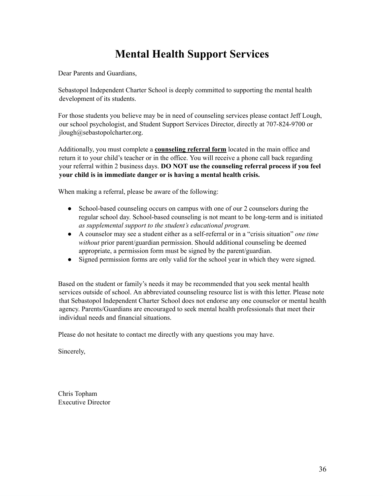# **Mental Health Support Services**

Dear Parents and Guardians,

Sebastopol Independent Charter School is deeply committed to supporting the mental health development of its students.

For those students you believe may be in need of counseling services please contact Jeff Lough, our school psychologist, and Student Support Services Director, directly at 707-824-9700 or jlough@sebastopolcharter.org.

Additionally, you must complete a **counseling referral form** located in the main office and return it to your child's teacher or in the office. You will receive a phone call back regarding your referral within 2 business days. **DO NOT use the counseling referral process if you feel your child is in immediate danger or is having a mental health crisis.**

When making a referral, please be aware of the following:

- School-based counseling occurs on campus with one of our 2 counselors during the regular school day. School-based counseling is not meant to be long-term and is initiated *as supplemental support to the student's educational program.*
- A counselor may see a student either as a self-referral or in a "crisis situation" *one time without* prior parent/guardian permission. Should additional counseling be deemed appropriate, a permission form must be signed by the parent/guardian.
- Signed permission forms are only valid for the school year in which they were signed.

Based on the student or family's needs it may be recommended that you seek mental health services outside of school. An abbreviated counseling resource list is with this letter. Please note that Sebastopol Independent Charter School does not endorse any one counselor or mental health agency. Parents/Guardians are encouraged to seek mental health professionals that meet their individual needs and financial situations.

Please do not hesitate to contact me directly with any questions you may have.

Sincerely,

Chris Topham Executive Director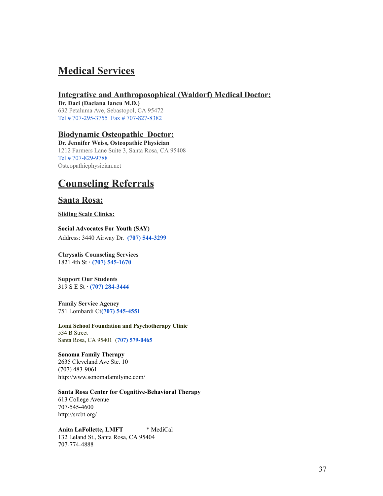# **Medical Services**

#### **Integrative and Anthroposophical (Waldorf) Medical Doctor:**

**Dr. Daci (Daciana Iancu M.D.)** 632 Petaluma Ave, Sebastopol, CA 95472 Tel # 707-295-3755 Fax # 707-827-8382

#### **Biodynamic Osteopathic Doctor:**

**Dr. Jennifer Weiss, Osteopathic Physician** 1212 Farmers Lane Suite 3, Santa Rosa, CA 95408 Tel # 707-829-9788 Osteopathicphysician.net

# **Counseling Referrals**

### **Santa Rosa:**

**Sliding Scale Clinics:**

#### **Social Advocates For Youth (SAY)**

Address: 3440 Airway Dr. **(707) 544-3299**

#### **Chrysalis Counseling Services** 1821 4th St **· (707) 545-1670**

**Support Our Students** 319 S E St **· (707) 284-3444**

**Family Service Agency** 751 Lombardi Ct**(707) 545-4551**

**Lomi School Foundation and Psychotherapy Clinic** 534 B Street Santa Rosa, CA 95401 (**707) 579-0465**

### **Sonoma Family Therapy**

2635 Cleveland Ave Ste. 10 (707) 483-9061 http://www.sonomafamilyinc.com/

#### **Santa Rosa Center for Cognitive-Behavioral Therapy**

613 College Avenue 707-545-4600 http://srcbt.org/

**Anita LaFollette, LMFT** \* MediCal 132 Leland St., Santa Rosa, CA 95404 707-774-4888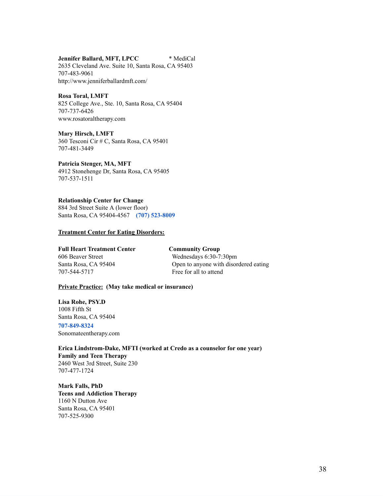**Jennifer Ballard, MFT, LPCC** \* MediCal

2635 Cleveland Ave. Suite 10, Santa Rosa, CA 95403 707-483-9061 http://www.jenniferballardmft.com/

#### **Rosa Toral, LMFT**

825 College Ave., Ste. 10, Santa Rosa, CA 95404 707-737-6426 www.rosatoraltherapy.com

#### **Mary Hirsch, LMFT**

360 Tesconi Cir # C, Santa Rosa, CA 95401 707-481-3449

**Patricia Stenger, MA, MFT** 4912 Stonehenge Dr, Santa Rosa, CA 95405

707-537-1511

**Relationship Center for Change** 884 3rd Street Suite A (lower floor) Santa Rosa, CA 95404-4567 **(707) 523-8009**

#### **Treatment Center for Eating Disorders:**

**Full Heart Treatment Center Community Group** 606 Beaver Street Wednesdays 6:30-7:30pm 707-544-5717 Free for all to attend

Santa Rosa, CA 95404 Open to anyone with disordered eating

#### **Private Practice: (May take medical or insurance)**

**Lisa Rohe, PSY.D** 1008 Fifth St Santa Rosa, CA 95404

**707-849-8324** Sonomateentherapy.com

**Erica Lindstrom-Dake, MFTI (worked at Credo as a counselor for one year) Family and Teen Therapy** 2460 West 3rd Street, Suite 230 707-477-1724

**Mark Falls, PhD Teens and Addiction Therapy** 1160 N Dutton Ave Santa Rosa, CA 95401 707-525-9300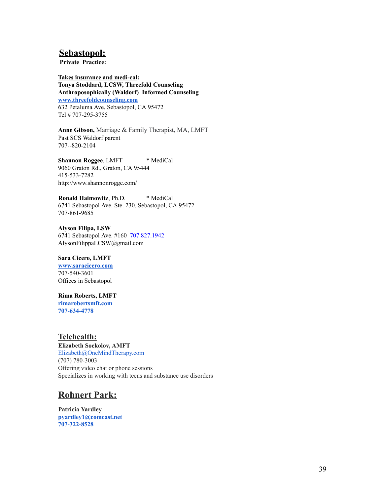### **Sebastopol:**

**Private Practice:**

**Takes insurance and medi-cal: Tonya Stoddard, LCSW, Threefold Counseling Anthroposophically (Waldorf) Informed Counseling [www.threefoldcounseling.com](http://www.threefoldcounseling.com/)** 632 Petaluma Ave, Sebastopol, CA 95472 Tel # 707-295-3755

**Anne Gibson,** Marriage & Family Therapist, MA, LMFT Past SCS Waldorf parent 707--820-2104

**Shannon Roggee**, LMFT \* MediCal 9060 Graton Rd., Graton, CA 95444 415-533-7282 http://www.shannonrogge.com/

**Ronald Haimowitz**, Ph.D. \* MediCal 6741 Sebastopol Ave. Ste. 230, Sebastopol, CA 95472 707-861-9685

**Alyson Filipa, LSW** 6741 Sebastopol Ave. #160 707.827.1942 AlysonFilippaLCSW@gmail.com

**Sara Cicero, LMFT [www.saracicero.com](http://www.saracicero.com/)** 707-540-3601 Offices in Sebastopol

**Rima Roberts, LMFT [rimarobertsmft.com](http://rimarobertsmft.com/) 707-634-4778**

**Telehealth: Elizabeth Sockolov, AMFT** Elizabeth@OneMindTherapy.com (707) 780-3003 Offering video chat or phone sessions Specializes in working with teens and substance use disorders

# **Rohnert Park:**

**Patricia Yardley pyardley1@comcast.net 707-322-8528**